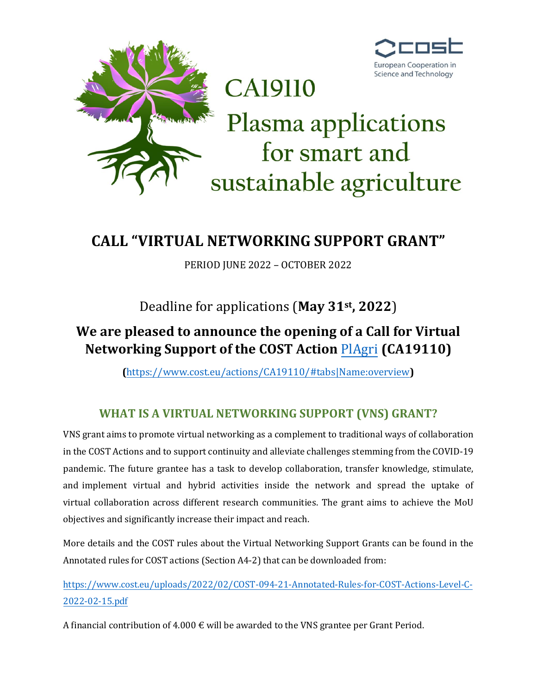

# **CALL "VIRTUAL NETWORKING SUPPORT GRANT"**

PERIOD JUNE 2022 – OCTOBER 2022

Deadline for applications (**May 31st, 2022**)

## **We are pleased to announce the opening of a Call for Virtual Networking Support of the COST Action** [PlAgri](https://plagri.eu/) **(CA19110)**

**(**[https://www.cost.eu/actions/CA19110/#tabs|Name:overview](https://www.cost.eu/actions/CA19110/%23tabs|Name:overview)**)**

## **WHAT IS A VIRTUAL NETWORKING SUPPORT (VNS) GRANT?**

VNS grant aims to promote virtual networking as a complement to traditional ways of collaboration in the COST Actions and to support continuity and alleviate challenges stemming from the COVID-19 pandemic. The future grantee has a task to develop collaboration, transfer knowledge, stimulate, and implement virtual and hybrid activities inside the network and spread the uptake of virtual collaboration across different research communities. The grant aims to achieve the MoU objectives and significantly increase their impact and reach.

More details and the COST rules about the Virtual Networking Support Grants can be found in the Annotated rules for COST actions (Section A4-2) that can be downloaded from:

[https://www.cost.eu/uploads/2022/02/COST-094-21-Annotated-Rules-for-COST-Actions-Level-C-](https://www.cost.eu/uploads/2022/02/COST-094-21-Annotated-Rules-for-COST-Actions-Level-C-2022-02-15.pdf)[2022-02-15.pdf](https://www.cost.eu/uploads/2022/02/COST-094-21-Annotated-Rules-for-COST-Actions-Level-C-2022-02-15.pdf)

A financial contribution of  $4.000 \text{ } \in \text{will}$  be awarded to the VNS grantee per Grant Period.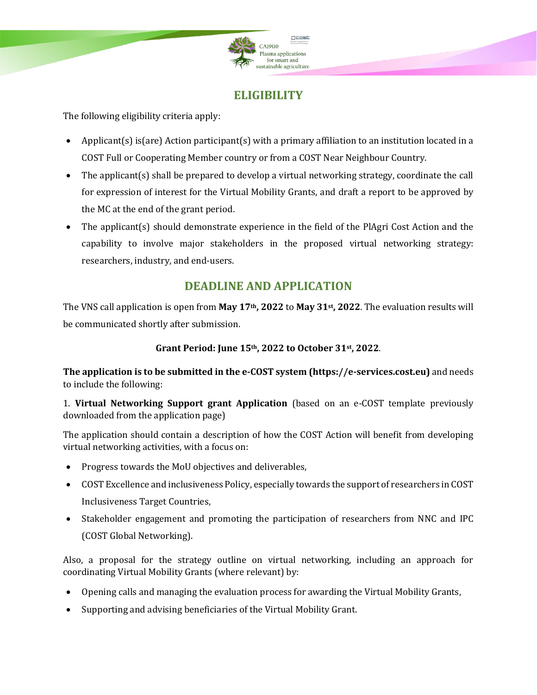

### **ELIGIBILITY**

The following eligibility criteria apply:

- Applicant(s) is(are) Action participant(s) with a primary affiliation to an institution located in a COST Full or Cooperating Member country or from a COST Near Neighbour Country.
- The applicant(s) shall be prepared to develop a virtual networking strategy, coordinate the call for expression of interest for the Virtual Mobility Grants, and draft a report to be approved by the MC at the end of the grant period.
- The applicant(s) should demonstrate experience in the field of the PlAgri Cost Action and the capability to involve major stakeholders in the proposed virtual networking strategy: researchers, industry, and end-users.

### **DEADLINE AND APPLICATION**

The VNS call application is open from **May 17th, 2022** to **May 31st, 2022**. The evaluation results will be communicated shortly after submission.

#### **Grant Period: June 15th, 2022 to October 31st , 2022**.

**The application is to be submitted in the e-COST system (https://e-services.cost.eu)** and needs to include the following:

1. **Virtual Networking Support grant Application** (based on an e-COST template previously downloaded from the application page)

The application should contain a description of how the COST Action will benefit from developing virtual networking activities, with a focus on:

- Progress towards the [MoU](https://e-services.cost.eu/files/domain_files/CA/Action_CA19110/mou/CA19110-e.pdf) objectives and deliverables,
- COST Excellence and inclusiveness Policy, especially towards the support of researchers in COST Inclusiveness Target Countries,
- Stakeholder engagement and promoting the participation of researchers from NNC and IPC (COST Global Networking).

Also, a proposal for the strategy outline on virtual networking, including an approach for coordinating Virtual Mobility Grants (where relevant) by:

- Opening calls and managing the evaluation process for awarding the Virtual Mobility Grants,
- Supporting and advising beneficiaries of the Virtual Mobility Grant.